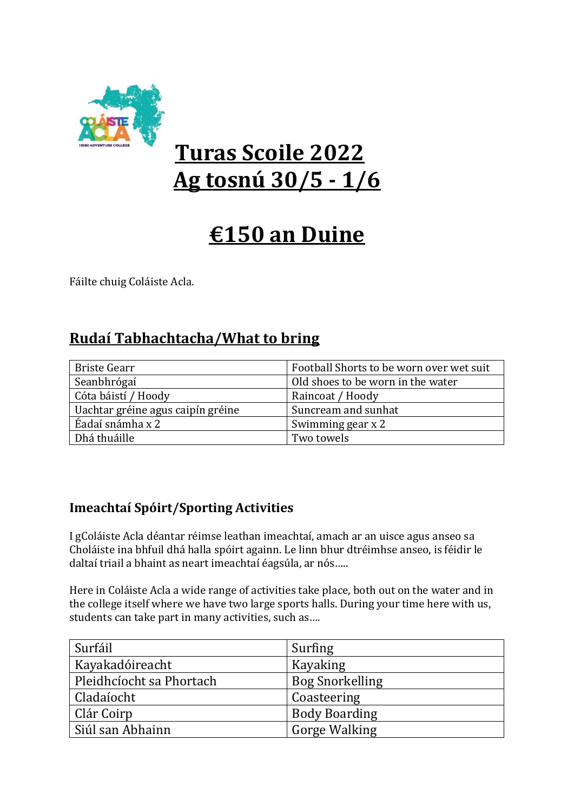

# **Turas Scoile 2022 Ag tosnú 30/5 - 1/6**

# **€150 an Duine**

Fáilte chuig Coláiste Acla.

### **Rudaí Tabhachtacha/What to bring**

| <b>Briste Gearr</b>               | Football Shorts to be worn over wet suit |  |  |
|-----------------------------------|------------------------------------------|--|--|
| Seanbhrógaí                       | Old shoes to be worn in the water        |  |  |
| Cóta báistí / Hoody               | Raincoat / Hoody                         |  |  |
| Uachtar gréine agus caipín gréine | Suncream and sunhat                      |  |  |
| Éadaí snámha x 2                  | Swimming gear x 2                        |  |  |
| Dhá thuáille                      | Two towels                               |  |  |

#### **Imeachtaí Spóirt/Sporting Activities**

I gColáiste Acla déantar réimse leathan imeachtaí, amach ar an uisce agus anseo sa Choláiste ina bhfuil dhá halla spóirt againn. Le linn bhur dtréimhse anseo, is féidir le daltaí triail a bhaint as neart imeachtaí éagsúla, ar nós…..

Here in Coláiste Acla a wide range of activities take place, both out on the water and in the college itself where we have two large sports halls. During your time here with us, students can take part in many activities, such as….

| Surfáil                  | Surfing                |
|--------------------------|------------------------|
| Kayakadóireacht          | Kayaking               |
| Pleidhcíocht sa Phortach | <b>Bog Snorkelling</b> |
| Cladaíocht               | Coasteering            |
| Clár Coirp               | <b>Body Boarding</b>   |
| Siúl san Abhainn         | <b>Gorge Walking</b>   |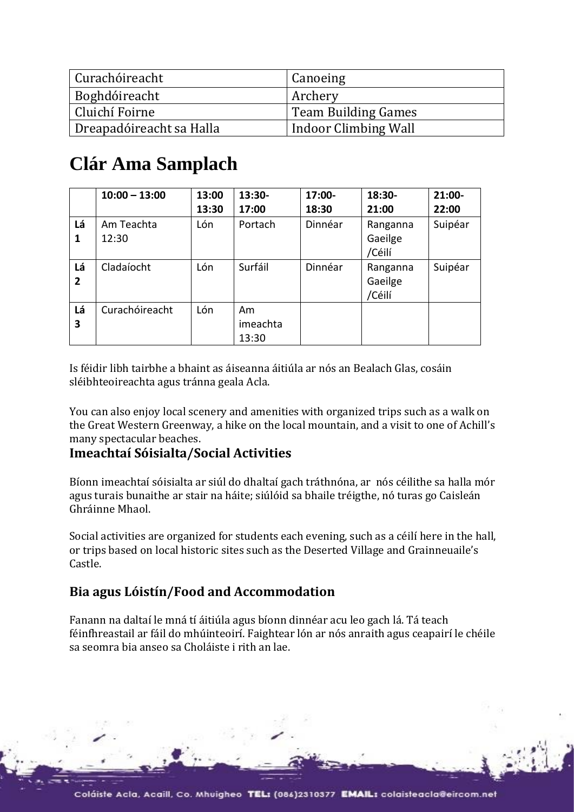| Curachóireacht           | Canoeing             |
|--------------------------|----------------------|
| Boghdóireacht            | Archery              |
| Cluichí Foirne           | Team Building Games  |
| Dreapadóireacht sa Halla | Indoor Climbing Wall |

## **Clár Ama Samplach**

|                      | $10:00 - 13:00$     | 13:00<br>13:30 | 13:30-<br>17:00         | $17:00-$<br>18:30 | 18:30-<br>21:00               | $21:00 -$<br>22:00 |
|----------------------|---------------------|----------------|-------------------------|-------------------|-------------------------------|--------------------|
| Lá<br>1              | Am Teachta<br>12:30 | Lón            | Portach                 | Dinnéar           | Ranganna<br>Gaeilge<br>/Céilí | Suipéar            |
| Lá<br>$\overline{2}$ | Cladaíocht          | Lón            | Surfáil                 | Dinnéar           | Ranganna<br>Gaeilge<br>/Céilí | Suipéar            |
| Lá<br>3              | Curachóireacht      | Lón            | Am<br>imeachta<br>13:30 |                   |                               |                    |

Is féidir libh tairbhe a bhaint as áiseanna áitiúla ar nós an Bealach Glas, cosáin sléibhteoireachta agus tránna geala Acla.

You can also enjoy local scenery and amenities with organized trips such as a walk on the Great Western Greenway, a hike on the local mountain, and a visit to one of Achill's many spectacular beaches.

#### **Imeachtaí Sóisialta/Social Activities**

Bíonn imeachtaí sóisialta ar siúl do dhaltaí gach tráthnóna, ar nós céilithe sa halla mór agus turais bunaithe ar stair na háite; siúlóid sa bhaile tréigthe, nó turas go Caisleán Ghráinne Mhaol.

Social activities are organized for students each evening, such as a céilí here in the hall, or trips based on local historic sites such as the Deserted Village and Grainneuaile's Castle.

#### **Bia agus Lóistín/Food and Accommodation**

Fanann na daltaí le mná tí áitiúla agus bíonn dinnéar acu leo gach lá. Tá teach féinfhreastail ar fáil do mhúinteoirí. Faightear lón ar nós anraith agus ceapairí le chéile sa seomra bia anseo sa Choláiste i rith an lae.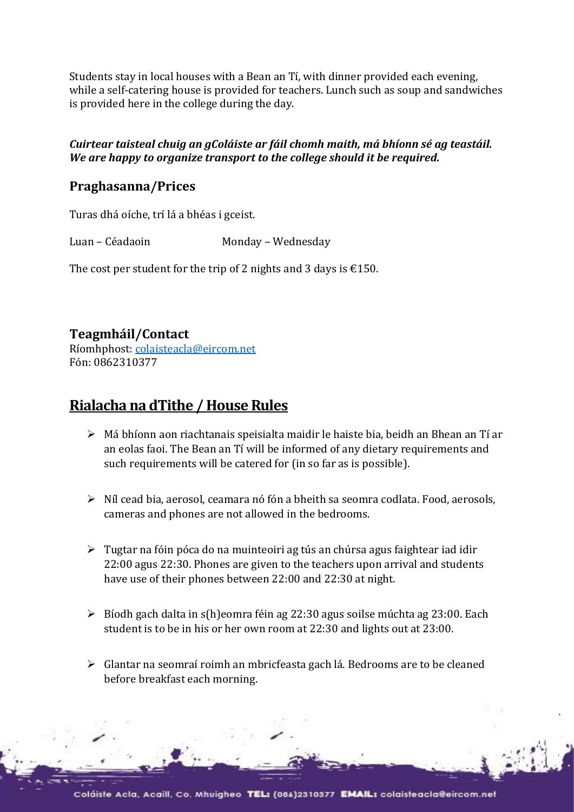Students stay in local houses with a Bean an Tí, with dinner provided each evening, while a self-catering house is provided for teachers. Lunch such as soup and sandwiches is provided here in the college during the day.

#### *Cuirtear taisteal chuig an gColáiste ar fáil chomh maith, má bhíonn sé ag teastáil. We are happy to organize transport to the college should it be required.*

#### **Praghasanna/Prices**

Turas dhá oíche, trí lá a bhéas i gceist.

Luan – Céadaoin Monday – Wednesday

The cost per student for the trip of 2 nights and 3 days is  $\text{\textsterling}150$ .

#### **Teagmháil/Contact**

Ríomhphost: [colaisteacla@eircom.net](mailto:colaisteacla@eircom.net) Fón: 0862310377

### **Rialacha na dTithe / House Rules**

- ➢ Má bhíonn aon riachtanais speisialta maidir le haiste bia, beidh an Bhean an Tí ar an eolas faoi. The Bean an Tí will be informed of any dietary requirements and such requirements will be catered for (in so far as is possible).
- ➢ Níl cead bia, aerosol, ceamara nó fón a bheith sa seomra codlata. Food, aerosols, cameras and phones are not allowed in the bedrooms.
- ➢ Tugtar na fóin póca do na muinteoiri ag tús an chúrsa agus faightear iad idir 22:00 agus 22:30. Phones are given to the teachers upon arrival and students have use of their phones between 22:00 and 22:30 at night.
- $\triangleright$  Bíodh gach dalta in s(h)eomra féin ag 22:30 agus soilse múchta ag 23:00. Each student is to be in his or her own room at 22:30 and lights out at 23:00.
- ➢ Glantar na seomraí roimh an mbricfeasta gach lá. Bedrooms are to be cleaned before breakfast each morning.